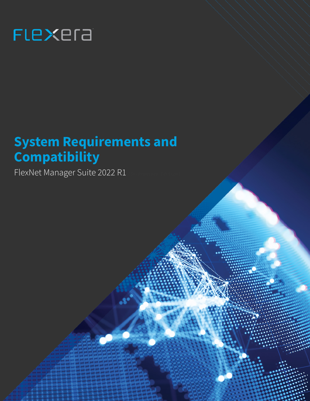# **FLEXEra**

# **System Requirements and Compatibility**

FlexNet Manager Suite 2022 R1

s.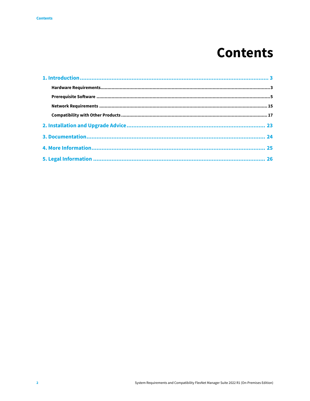# **Contents**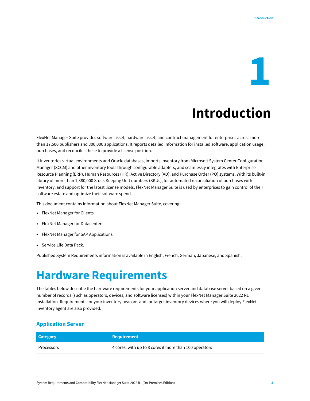# **1**

# **Introduction**

<span id="page-2-0"></span>FlexNet Manager Suite provides software asset, hardware asset, and contract management for enterprises across more than 17,500 publishers and 300,000 applications. It reports detailed information for installed software, application usage, purchases, and reconciles these to provide a license position.

It inventories virtual environments and Oracle databases, imports inventory from Microsoft System Center Configuration Manager (SCCM) and other inventory tools through configurable adapters, and seamlessly integrates with Enterprise Resource Planning (ERP), Human Resources (HR), Active Directory (AD), and Purchase Order (PO) systems. With its built-in library of more than 1,380,000 Stock Keeping Unit numbers (SKUs), for automated reconciliation of purchases with inventory, and support for the latest license models, FlexNet Manager Suite is used by enterprises to gain control of their software estate and optimize their software spend.

This document contains information about FlexNet Manager Suite, covering:

- **•** FlexNet Manager for Clients
- **•** FlexNet Manager for Datacenters
- **•** FlexNet Manager for SAP Applications
- **•** Service Life Data Pack.

Published System Requirements information is available in English, French, German, Japanese, and Spanish.

# <span id="page-2-1"></span>**Hardware Requirements**

The tables below describe the hardware requirements for your application server and database server based on a given number of records (such as operators, devices, and software licenses) within your FlexNet Manager Suite 2022 R1 installation. Requirements for your inventory beacons and for target inventory devices where you will deploy FlexNet inventory agent are also provided.

## **Application Server**

| Category   | <b>Requirement</b>                                     |
|------------|--------------------------------------------------------|
| Processors | 4 cores, with up to 8 cores if more than 100 operators |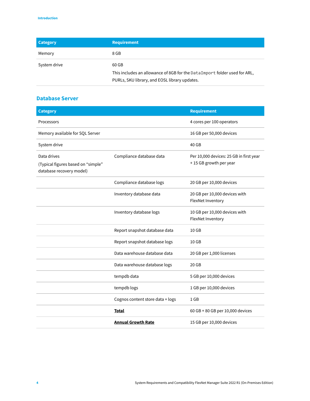| <b>Category</b> | <b>Requirement</b>                                                                                                                  |  |
|-----------------|-------------------------------------------------------------------------------------------------------------------------------------|--|
| Memory          | 8 GB                                                                                                                                |  |
| System drive    | 60 GB<br>This includes an allowance of 8GB for the DataImport folder used for ARL,<br>PURLs, SKU library, and EOSL library updates. |  |

## **Database Server**

| <b>Category</b>                                                                                           |                                  | <b>Requirement</b>                                                |
|-----------------------------------------------------------------------------------------------------------|----------------------------------|-------------------------------------------------------------------|
| Processors                                                                                                |                                  | 4 cores per 100 operators                                         |
| Memory available for SQL Server                                                                           |                                  | 16 GB per 50,000 devices                                          |
| System drive                                                                                              |                                  | 40 GB                                                             |
| Data drives<br>Compliance database data<br>(Typical figures based on "simple"<br>database recovery model) |                                  | Per 10,000 devices: 25 GB in first year<br>+15 GB growth per year |
|                                                                                                           | Compliance database logs         | 20 GB per 10,000 devices                                          |
|                                                                                                           | Inventory database data          | 20 GB per 10,000 devices with<br>FlexNet Inventory                |
|                                                                                                           | Inventory database logs          | 10 GB per 10,000 devices with<br>FlexNet Inventory                |
|                                                                                                           | Report snapshot database data    | 10 GB                                                             |
|                                                                                                           | Report snapshot database logs    | 10 GB                                                             |
|                                                                                                           | Data warehouse database data     | 20 GB per 1,000 licenses                                          |
|                                                                                                           | Data warehouse database logs     | 20 GB                                                             |
|                                                                                                           | tempdb data                      | 5 GB per 10,000 devices                                           |
|                                                                                                           | tempdb logs                      | 1 GB per 10,000 devices                                           |
|                                                                                                           | Cognos content store data + logs | 1 GB                                                              |
|                                                                                                           | Total                            | 60 GB + 80 GB per 10,000 devices                                  |
|                                                                                                           | <b>Annual Growth Rate</b>        | 15 GB per 10,000 devices                                          |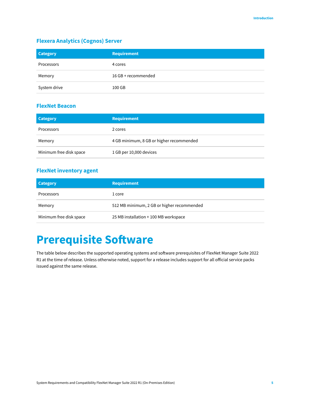## **Flexera Analytics (Cognos) Server**

| <b>Category</b> | <b>Requirement</b>  |  |
|-----------------|---------------------|--|
| Processors      | 4 cores             |  |
| Memory          | 16 GB + recommended |  |
| System drive    | 100 GB              |  |

## **FlexNet Beacon**

| <b>Category</b>         | <b>Requirement</b>                       |  |
|-------------------------|------------------------------------------|--|
| Processors              | 2 cores                                  |  |
| Memory                  | 4 GB minimum, 8 GB or higher recommended |  |
| Minimum free disk space | 1 GB per 10,000 devices                  |  |

## **FlexNet inventory agent**

| <b>Category</b>         | <b>Requirement</b>                         |  |
|-------------------------|--------------------------------------------|--|
| Processors              | 1 core                                     |  |
| Memory                  | 512 MB minimum, 2 GB or higher recommended |  |
| Minimum free disk space | 25 MB installation + 100 MB workspace      |  |

# <span id="page-4-0"></span>**Prerequisite Software**

The table below describes the supported operating systems and software prerequisites of FlexNet Manager Suite 2022 R1 at the time of release. Unless otherwise noted, support for a release includes support for all official service packs issued against the same release.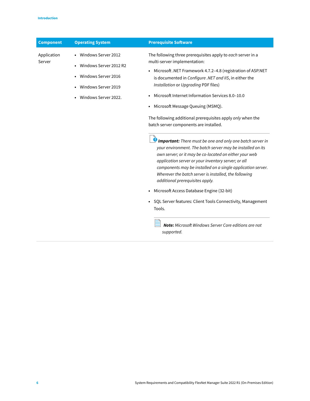#### **Introduction**

| <b>Operating System</b>                                                                                             | <b>Prerequisite Software</b>                                                                                                                                                                                                                                                                                                                                                                                                                                                                                                                                                                                                                                                                                                                                                                                                                                                                                                                                                                                                                                                                     |
|---------------------------------------------------------------------------------------------------------------------|--------------------------------------------------------------------------------------------------------------------------------------------------------------------------------------------------------------------------------------------------------------------------------------------------------------------------------------------------------------------------------------------------------------------------------------------------------------------------------------------------------------------------------------------------------------------------------------------------------------------------------------------------------------------------------------------------------------------------------------------------------------------------------------------------------------------------------------------------------------------------------------------------------------------------------------------------------------------------------------------------------------------------------------------------------------------------------------------------|
| Windows Server 2012<br>Windows Server 2012 R2<br>Windows Server 2016<br>Windows Server 2019<br>Windows Server 2022. | The following three prerequisites apply to each server in a<br>multi-server implementation:<br>Microsoft .NET Framework 4.7.2-4.8 (registration of ASP.NET<br>٠<br>is documented in Configure .NET and IIS, in either the<br>Installation or Upgrading PDF files)<br>Microsoft Internet Information Services 8.0-10.0<br>$\bullet$<br>Microsoft Message Queuing (MSMQ).<br>٠<br>The following additional prerequisites apply only when the<br>batch server components are installed.<br>Important: There must be one and only one batch server in<br>your environment. The batch server may be installed on its<br>own server; or it may be co-located on either your web<br>application server or your inventory server; or all<br>components may be installed on a single application server.<br>Wherever the batch server is installed, the following<br>additional prerequisites apply.<br>Microsoft Access Database Engine (32-bit)<br>٠<br>SQL Server features: Client Tools Connectivity, Management<br>٠<br>Tools.<br>Note: Microsoft Windows Server Core editions are not<br>supported. |
|                                                                                                                     |                                                                                                                                                                                                                                                                                                                                                                                                                                                                                                                                                                                                                                                                                                                                                                                                                                                                                                                                                                                                                                                                                                  |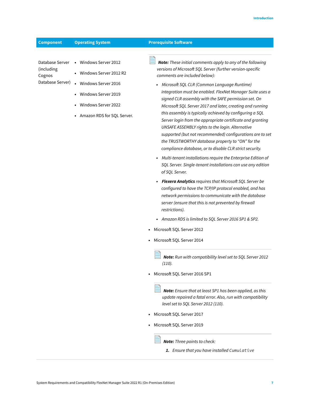| <b>Component</b>                                             | <b>Operating System</b>                                                                                                                                         | <b>Prerequisite Software</b>                                                                                                                                                                                                                                                                                                                                                                                                                                                                                                                                                                                                                              |
|--------------------------------------------------------------|-----------------------------------------------------------------------------------------------------------------------------------------------------------------|-----------------------------------------------------------------------------------------------------------------------------------------------------------------------------------------------------------------------------------------------------------------------------------------------------------------------------------------------------------------------------------------------------------------------------------------------------------------------------------------------------------------------------------------------------------------------------------------------------------------------------------------------------------|
| Database Server<br>(including)<br>Cognos<br>Database Server) | Windows Server 2012<br>$\bullet$<br>Windows Server 2012 R2<br>Windows Server 2016<br>Windows Server 2019<br>Windows Server 2022<br>• Amazon RDS for SQL Server. | <b>Note:</b> These initial comments apply to any of the following<br>versions of Microsoft SQL Server (further version-specific<br>comments are included below):<br>Microsoft SQL CLR (Common Language Runtime)<br>$\bullet$<br>integration must be enabled. FlexNet Manager Suite uses a<br>signed CLR assembly with the SAFE permission set. On<br>Microsoft SQL Server 2017 and later, creating and running<br>this assembly is typically achieved by configuring a SQL<br>Server login from the appropriate certificate and granting<br>UNSAFE ASSEMBLY rights to the login. Alternative<br>supported (but not recommended) configurations are to set |
|                                                              |                                                                                                                                                                 |                                                                                                                                                                                                                                                                                                                                                                                                                                                                                                                                                                                                                                                           |

*• Multi-tenant installations require the Enterprise Edition of SQL Server. Single-tenant installations can use any edition of SQL Server.*

*the TRUSTWORTHY database property to "ON" for the compliance database, or to disable CLR strict security.*

- *• Flexera Analytics requires that Microsoft SQL Server be configured to have the TCP/IP protocol enabled, and has network permissions to communicate with the database server (ensure that this is not prevented by firewall restrictions).*
- *• Amazon RDS is limited to SQL Server 2016 SP1 & SP2.*
- **•** Microsoft SQL Server 2012
- **•** Microsoft SQL Server 2014

*Note: Run with compatibility level set to SQL Server 2012 (110).*

**•** Microsoft SQL Server 2016 SP1

*Note: Ensure that at least SP1 has been applied, as this update repaired a fatal error. Also, run with compatibility level set to SQL Server 2012 (110).*

- **•** Microsoft SQL Server 2017
- **•** Microsoft SQL Server 2019

*Note: Three points to check:*

*1. Ensure that you have installed [Cumulative](https://www.microsoft.com/en-us/download/details.aspx?id=100809)*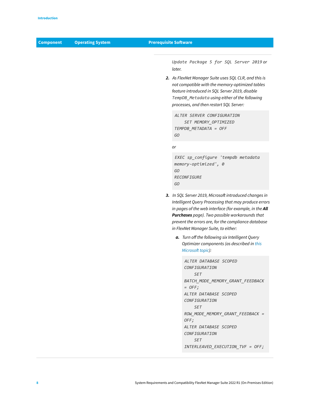**Component Operating System <b>Prerequisite Software** 

*[Update Package 5 for SQL Server 2019](https://www.microsoft.com/en-us/download/details.aspx?id=100809) or later.*

*2. As FlexNet Manager Suite uses SQL CLR, and this is not compatible with the memory-optimized tables feature introduced in SQL Server 2019, disable TempDB\_Metadata using either of the following processes, and then restart SQL Server:*

```
ALTER SERVER CONFIGURATION
    SET MEMORY_OPTIMIZED
TEMPDB_METADATA = OFF
GO
```
*or*

*EXEC sp\_configure 'tempdb metadata memory-optimized', 0 GO RECONFIGURE GO*

- *3. In SQL Server 2019, Microsoft introduced changes in Intelligent Query Processing that may produce errors in pages of the web interface (for example, in the All Purchases page). Two possible workarounds that prevent the errors are, for the compliance database in FlexNet Manager Suite, to either:*
	- *a. Turn off the following six Intelligent Query Optimizer components (as described in [this](https://docs.microsoft.com/en-us/sql/relational-databases/performance/intelligent-query-processing?view=sql-server-ver15#batch-mode-adaptive-joins) [Microsoft topic\)](https://docs.microsoft.com/en-us/sql/relational-databases/performance/intelligent-query-processing?view=sql-server-ver15#batch-mode-adaptive-joins):*

*ALTER DATABASE SCOPED CONFIGURATION SET BATCH\_MODE\_MEMORY\_GRANT\_FEEDBACK = OFF; ALTER DATABASE SCOPED CONFIGURATION SET ROW\_MODE\_MEMORY\_GRANT\_FEEDBACK = OFF; ALTER DATABASE SCOPED CONFIGURATION SET INTERLEAVED\_EXECUTION\_TVF = OFF;*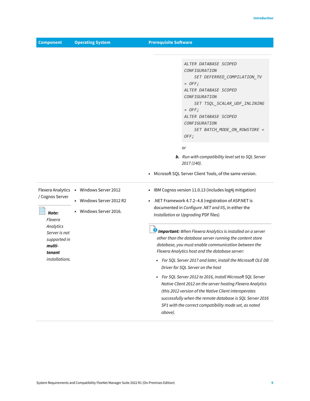```
ALTER DATABASE SCOPED
                                                                          CONFIGURATION
                                                                               SET DEFERRED_COMPILATION_TV
                                                                          = OFF;
                                                                          ALTER DATABASE SCOPED
                                                                          CONFIGURATION
                                                                               SET TSQL_SCALAR_UDF_INLINING
                                                                          = OFF;
                                                                          ALTER DATABASE SCOPED
                                                                          CONFIGURATION
                                                                               SET BATCH_MODE_ON_ROWSTORE =
                                                                          OFF;
                                                                        or
                                                                     b. Run with compatibility level set to SQL Server
                                                                         2017 (140).
                                                        • Microsoft SQL Server Client Tools, of the same version.
Flexera Analytics
• Windows Server 2012
/ Cognos Server
    Note:
    Flexera
    Analytics
    Server is not
    supported in
    multi-
    tenant
    installations.
                    • Windows Server 2012 R2
                  • Windows Server 2016.
                                                       • IBM Cognos version 11.0.13 (includes log4j mitigation)
                                                       • .NET Framework 4.7.2–4.8 (registration of ASP.NET is
                                                          documented in Configure .NET and IIS, in either the
                                                          Installation or Upgrading PDF files)
                                                          Important: When Flexera Analytics is installed on a server
                                                            other than the database server running the content store
                                                            database, you must enable communication between the
                                                            Flexera Analytics host and the database server:
                                                           • For SQL Server 2017 and later, install the Microsoft OLE DB
                                                              Driver for SQL Server on the host
                                                           • For SQL Server 2012 to 2016, install Microsoft SQL Server
                                                              Native Client 2012 on the server hosting Flexera Analytics
                                                              (this 2012 version of the Native Client interoperates
                                                              successfully when the remote database is SQL Server 2016
                                                              SP1 with the correct compatibility mode set, as noted
                                                              above).
```
**Component Operating System Prerequisite Software**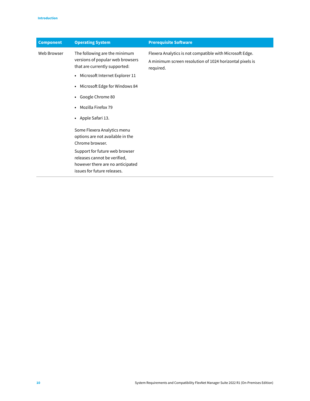| <b>Component</b> | <b>Operating System</b>                                                                                                                           | <b>Prerequisite Software</b>                                                                                                      |
|------------------|---------------------------------------------------------------------------------------------------------------------------------------------------|-----------------------------------------------------------------------------------------------------------------------------------|
| Web Browser      | The following are the minimum<br>versions of popular web browsers<br>that are currently supported:<br>Microsoft Internet Explorer 11<br>$\bullet$ | Flexera Analytics is not compatible with Microsoft Edge.<br>A minimum screen resolution of 1024 horizontal pixels is<br>required. |
|                  | Microsoft Edge for Windows 84<br>$\bullet$<br>Google Chrome 80<br>Mozilla Firefox 79<br>$\bullet$<br>• Apple Safari 13.                           |                                                                                                                                   |
|                  | Some Flexera Analytics menu<br>options are not available in the<br>Chrome browser.                                                                |                                                                                                                                   |
|                  | Support for future web browser<br>releases cannot be verified,<br>however there are no anticipated<br>issues for future releases.                 |                                                                                                                                   |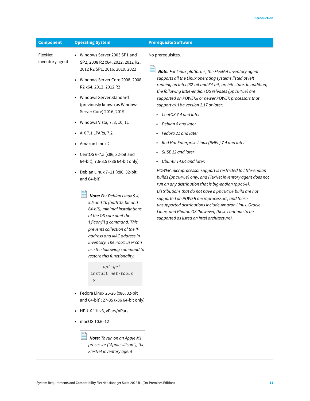| <b>Component</b>           | <b>Operating System</b>                                                                                                                                                                                                                                                                                                                                                 | <b>Prerequisite Software</b>                                                                                                                                                                                                                                                                                                                                                                                   |
|----------------------------|-------------------------------------------------------------------------------------------------------------------------------------------------------------------------------------------------------------------------------------------------------------------------------------------------------------------------------------------------------------------------|----------------------------------------------------------------------------------------------------------------------------------------------------------------------------------------------------------------------------------------------------------------------------------------------------------------------------------------------------------------------------------------------------------------|
| FlexNet<br>inventory agent | • Windows Server 2003 SP1 and<br>SP2, 2008 R2 x64, 2012, 2012 R2,<br>2012 R2 SP1, 2016, 2019, 2022<br>Windows Server Core 2008, 2008<br>R2 x64, 2012, 2012 R2<br>Windows Server Standard<br>(previously known as Windows<br>Server Core) 2016, 2019<br>Windows Vista, 7, 8, 10, 11                                                                                      | No prerequisites.<br>Note: For Linux platforms, the FlexNet inventory agent<br>supports all the Linux operating systems listed at left<br>running on Intel (32-bit and 64-bit) architecture. In addition,<br>the following little-endian OS releases (ppc64Le) are<br>supported on POWER8 or newer POWER processors that<br>support glibc version 2.17 or later:<br>CentOS 7.4 and later<br>Debian 8 and later |
|                            | AIX 7.1 LPARs, 7.2                                                                                                                                                                                                                                                                                                                                                      | Fedora 21 and later                                                                                                                                                                                                                                                                                                                                                                                            |
|                            | Amazon Linux 2                                                                                                                                                                                                                                                                                                                                                          | Red Hat Enterprise Linux (RHEL) 7.4 and later                                                                                                                                                                                                                                                                                                                                                                  |
|                            | • CentOS 6-7.5 (x86, 32-bit and<br>64-bit); 7.6-8.5 (x86 64-bit only)                                                                                                                                                                                                                                                                                                   | SuSE 12 and later<br>Ubuntu 14.04 and later.<br>POWER microprocessor support is restricted to little-endian                                                                                                                                                                                                                                                                                                    |
|                            | Debian Linux 7-11 (x86, 32-bit<br>and 64-bit)<br><b>Note:</b> For Debian Linux 9.4,<br>9.5 and 10 (both 32-bit and<br>64-bit), minimal installations<br>of the OS core omit the<br>ifconfig command. This<br>prevents collection of the IP<br>address and MAC address in<br>inventory. The root user can<br>use the following command to<br>restore this functionality: | builds (ppc64Le) only, and FlexNet inventory agent does not<br>run on any distribution that is big-endian (ppc64).<br>Distributions that do not have a ppc64Le build are not<br>supported on POWER microprocessors, and these<br>unsupported distributions include Amazon Linux, Oracle<br>Linux, and Photon OS (however, these continue to be<br>supported as listed on Intel architecture).                  |
| $apt-qet$                  |                                                                                                                                                                                                                                                                                                                                                                         |                                                                                                                                                                                                                                                                                                                                                                                                                |

*install net-tools -y*

- **•** Fedora Linux 25-26 (x86, 32-bit and 64-bit); 27-35 (x86 64-bit only)
- **•** HP-UX 11i v3, vPars/nPars
- **•** macOS 10.6–12

*Note: To run on an Apple M1 processor ("Apple silicon"), the FlexNet inventory agent*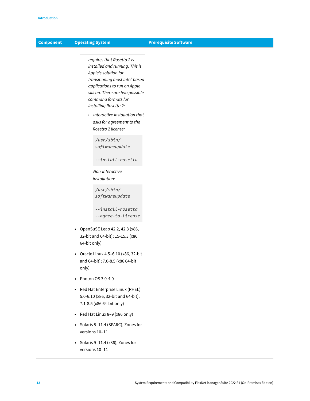## **Component Operating System Prerequisite Software**

*requires that Rosetta 2 is installed and running. This is Apple's solution for transitioning most Intel-based applications to run on Apple silicon. There are two possible command formats for installing Rosetta 2:*

*◦ Interactive installation that asks for agreement to the Rosetta 2 license:*

> */usr/sbin/ softwareupdate*

```
--install-rosetta
```
*◦ Non-interactive installation:*

> */usr/sbin/ softwareupdate*

```
--install-rosetta
--agree-to-license
```
- **•** OpenSuSE Leap 42.2, 42.3 (x86, 32-bit and 64-bit); 15-15.3 (x86 64-bit only)
- **•** Oracle Linux 4.5–6.10 (x86, 32-bit and 64-bit); 7.0-8.5 (x86 64-bit only)
- **•** Photon OS 3.0-4.0
- **•** Red Hat Enterprise Linux (RHEL) 5.0-6.10 (x86, 32-bit and 64-bit); 7.1-8.5 (x86 64-bit only)
- **•** Red Hat Linux 8–9 (x86 only)
- **•** Solaris 8–11.4 (SPARC), Zones for versions 10–11
- **•** Solaris 9–11.4 (x86), Zones for versions 10–11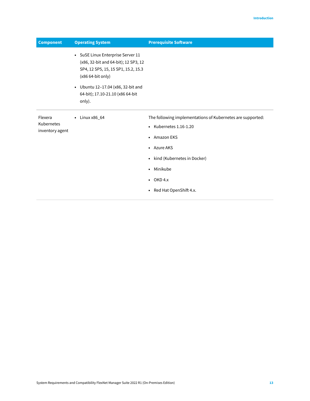| <b>Component</b>                         | <b>Operating System</b>                                                                                                                          | <b>Prerequisite Software</b>                                                                                                                                                                                                                         |
|------------------------------------------|--------------------------------------------------------------------------------------------------------------------------------------------------|------------------------------------------------------------------------------------------------------------------------------------------------------------------------------------------------------------------------------------------------------|
|                                          | SuSE Linux Enterprise Server 11<br>$\bullet$<br>(x86, 32-bit and 64-bit); 12 SP3, 12<br>SP4, 12 SP5, 15, 15 SP1, 15.2, 15.3<br>(x86 64-bit only) |                                                                                                                                                                                                                                                      |
|                                          | Ubuntu 12-17.04 (x86, 32-bit and<br>$\bullet$<br>64-bit); 17.10-21.10 (x86 64-bit<br>only).                                                      |                                                                                                                                                                                                                                                      |
| Flexera<br>Kubernetes<br>inventory agent | $\cdot$ Linux x86_64                                                                                                                             | The following implementations of Kubernetes are supported:<br>• Kubernetes 1.16-1.20<br>Amazon EKS<br>$\bullet$<br>• Azure AKS<br>• kind (Kubernetes in Docker)<br>Minikube<br>$\bullet$<br>$\bullet$ OKD 4.x<br>Red Hat OpenShift 4.x.<br>$\bullet$ |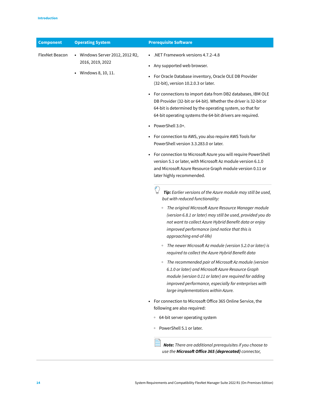| <b>Component</b>      | <b>Operating System</b>                                                   | <b>Prerequisite Software</b>                                                                                                                                                                                                                                                                                                                                                                                                                                                                                                                                                                                                                                                                                                                                                                                                                                                                                                                                                                                                                                                                                                                                  |
|-----------------------|---------------------------------------------------------------------------|---------------------------------------------------------------------------------------------------------------------------------------------------------------------------------------------------------------------------------------------------------------------------------------------------------------------------------------------------------------------------------------------------------------------------------------------------------------------------------------------------------------------------------------------------------------------------------------------------------------------------------------------------------------------------------------------------------------------------------------------------------------------------------------------------------------------------------------------------------------------------------------------------------------------------------------------------------------------------------------------------------------------------------------------------------------------------------------------------------------------------------------------------------------|
| <b>FlexNet Beacon</b> | • Windows Server 2012, 2012 R2,<br>2016, 2019, 2022<br>Windows 8, 10, 11. | • .NET Framework versions 4.7.2-4.8<br>Any supported web browser.<br>٠<br>For Oracle Database inventory, Oracle OLE DB Provider<br>٠<br>(32-bit), version 10.2.0.3 or later.<br>For connections to import data from DB2 databases, IBM OLE<br>$\bullet$<br>DB Provider (32-bit or 64-bit). Whether the driver is 32-bit or<br>64-bit is determined by the operating system, so that for<br>64-bit operating systems the 64-bit drivers are required.<br>PowerShell 3.0+.<br>• For connection to AWS, you also require AWS Tools for<br>PowerShell version 3.3.283.0 or later.<br>For connection to Microsoft Azure you will require PowerShell<br>٠<br>version 5.1 or later, with Microsoft Az module version 6.1.0<br>and Microsoft Azure Resource Graph module version 0.11 or<br>later highly recommended.<br>Tip: Earlier versions of the Azure module may still be used,<br>but with reduced functionality:<br>The original Microsoft Azure Resource Manager module<br>$\circ$<br>(version 6.8.1 or later) may still be used, provided you do<br>not want to collect Azure Hybrid Benefit data or enjoy<br>improved performance (and notice that this is |
|                       |                                                                           | approaching end-of-life)<br>The newer Microsoft Az module (version 5.2.0 or later) is<br>$\circ$<br>required to collect the Azure Hybrid Benefit data<br>• The recommended pair of Microsoft Az module (version<br>6.1.0 or later) and Microsoft Azure Resource Graph<br>module (version 0.11 or later) are required for adding<br>improved performance, especially for enterprises with<br>large implementations within Azure.<br>• For connection to Microsoft Office 365 Online Service, the<br>following are also required:<br>○ 64-bit server operating system<br>PowerShell 5.1 or later.<br>$\circ$<br>Note: There are additional prerequisites if you choose to<br>use the Microsoft Office 365 (deprecated) connector,                                                                                                                                                                                                                                                                                                                                                                                                                               |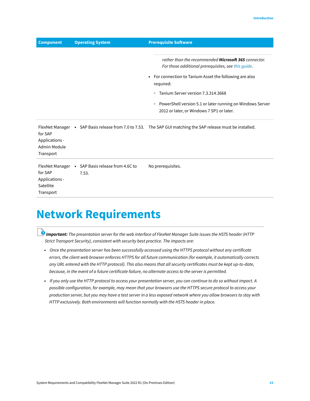| <b>Component</b>                                       | <b>Operating System</b>                                   | <b>Prerequisite Software</b>                                                                                                                                                                                                                                                                                                                                       |
|--------------------------------------------------------|-----------------------------------------------------------|--------------------------------------------------------------------------------------------------------------------------------------------------------------------------------------------------------------------------------------------------------------------------------------------------------------------------------------------------------------------|
|                                                        |                                                           | rather than the recommended <b>Microsoft 365</b> connector.<br>For those additional prerequisites, see this guide.<br>For connection to Tanium Asset the following are also<br>$\bullet$<br>required:<br>Tanium Server version 7.3.314.3668<br>$\circ$<br>• PowerShell version 5.1 or later running on Windows Server<br>2012 or later, or Windows 7 SP1 or later. |
| for SAP<br>Applications -<br>Admin Module<br>Transport |                                                           | FlexNet Manager • SAP Basis release from 7.0 to 7.53. The SAP GUI matching the SAP release must be installed.                                                                                                                                                                                                                                                      |
| for SAP<br>Applications -<br>Satellite<br>Transport    | FlexNet Manager • SAP Basis release from 4.6C to<br>7.53. | No prerequisites.                                                                                                                                                                                                                                                                                                                                                  |

## <span id="page-14-0"></span>**Network Requirements**

*Important: The presentation server for the web interface of FlexNet Manager Suite issues the HSTS header (HTTP Strict Transport Security), consistent with security best practice. The impacts are:*

- *• Once the presentation server has been successfully accessed using the HTTPS protocol without any certificate errors, the client web browser enforces HTTPS for all future communication (for example, it automatically corrects any URL entered with the HTTP protocol). This also means that all security certificates must be kept up-to-date, because, in the event of a future certificate failure, no alternate access to the server is permitted.*
- *• If you only use the HTTP protocol to access your presentation server, you can continue to do so without impact. A possible configuration, for example, may mean that your browsers use the HTTPS secure protocol to access your production server, but you may have a test server in a less exposed network where you allow browsers to stay with HTTP exclusively. Both environments will function normally with the HSTS header in place.*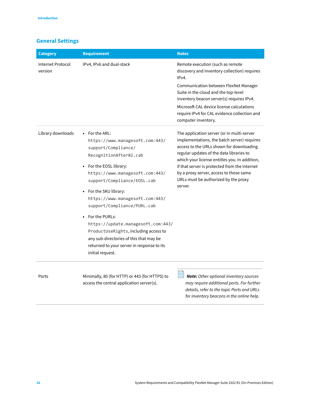## **General Settings**

| <b>Category</b>              | <b>Requirement</b>                                                                                                                                                                                                                                                                                                                                                                                                                                                                                      | <b>Notes</b>                                                                                                                                                                                                                                                                                                                                                                      |
|------------------------------|---------------------------------------------------------------------------------------------------------------------------------------------------------------------------------------------------------------------------------------------------------------------------------------------------------------------------------------------------------------------------------------------------------------------------------------------------------------------------------------------------------|-----------------------------------------------------------------------------------------------------------------------------------------------------------------------------------------------------------------------------------------------------------------------------------------------------------------------------------------------------------------------------------|
| Internet Protocol<br>version | IPv4, IPv6 and dual-stack                                                                                                                                                                                                                                                                                                                                                                                                                                                                               | Remote execution (such as remote<br>discovery and inventory collection) requires<br>IPv4.                                                                                                                                                                                                                                                                                         |
|                              |                                                                                                                                                                                                                                                                                                                                                                                                                                                                                                         | Communication between FlexNet Manager<br>Suite in the cloud and the top-level<br>inventory beacon server(s) requires IPv4.                                                                                                                                                                                                                                                        |
|                              |                                                                                                                                                                                                                                                                                                                                                                                                                                                                                                         | Microsoft CAL device license calculations<br>require IPv4 for CAL evidence collection and<br>computer inventory.                                                                                                                                                                                                                                                                  |
| Library downloads            | For the ARL:<br>https://www.managesoft.com:443/<br>support/Compliance/<br>RecognitionAfter82.cab<br>• For the EOSL library:<br>https://www.managesoft.com:443/<br>support/Compliance/EOSL.cab<br>• For the SKU library:<br>https://www.managesoft.com:443/<br>support/Compliance/PURL.cab<br>For the PURLs:<br>https://update.managesoft.com:443/<br>ProductUseRights, including access to<br>any sub-directories of this that may be<br>returned to your server in response to its<br>initial request. | The application server (or in multi-server<br>implementations, the batch server) requires<br>access to the URLs shown for downloading<br>regular updates of the data libraries to<br>which your license entitles you. In addition,<br>if that server is protected from the Internet<br>by a proxy server, access to those same<br>URLs must be authorized by the proxy<br>server. |
| Ports                        | Minimally, 80 (for HTTP) or 443 (for HTTPS) to<br>access the central application server(s).                                                                                                                                                                                                                                                                                                                                                                                                             | <b>Note:</b> Other optional inventory sources<br>may require additional ports. For further<br>details, refer to the topic Ports and URLs                                                                                                                                                                                                                                          |

*for inventory beacons in the online help.*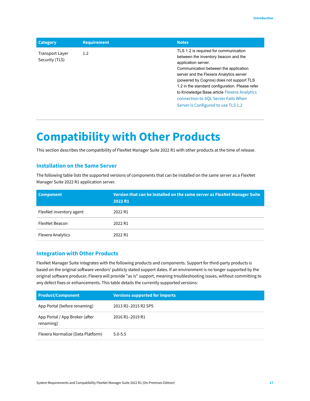| <b>Category</b>                          | <b>Requirement</b> | <b>Notes</b>                                                                                                                                                                                                                                                                                                                                                                                                         |
|------------------------------------------|--------------------|----------------------------------------------------------------------------------------------------------------------------------------------------------------------------------------------------------------------------------------------------------------------------------------------------------------------------------------------------------------------------------------------------------------------|
| <b>Transport Layer</b><br>Security (TLS) | 1.2                | TLS 1.2 is required for communication<br>between the inventory beacon and the<br>application server.<br>Communication between the application<br>server and the Flexera Analytics server<br>(powered by Cognos) does not support TLS<br>1.2 in the standard configuration. Please refer<br>to Knowledge Base article Flexera Analytics<br>connection to SQL Server Fails When<br>Server is Configured to use TLS 1.2 |

# <span id="page-16-0"></span>**Compatibility with Other Products**

This section describes the compatibility of FlexNet Manager Suite 2022 R1 with other products at the time of release.

## **Installation on the Same Server**

The following table lists the supported versions of components that can be installed on the same server as a FlexNet Manager Suite 2022 R1 application server.

| <b>Component</b>        | Version that can be installed on the same server as FlexNet Manager Suite<br>2022 R1 |
|-------------------------|--------------------------------------------------------------------------------------|
| FlexNet inventory agent | 2022 R1                                                                              |
| FlexNet Beacon          | 2022 R1                                                                              |
| Flexera Analytics       | 2022 R1                                                                              |

### **Integration with Other Products**

FlexNet Manager Suite integrates with the following products and components. Support for third-party products is based on the original software vendors' publicly stated support dates. If an environment is no longer supported by the original software producer, Flexera will provide "as is" support, meaning troubleshooting issues, without committing to any defect fixes or enhancements. This table details the currently supported versions:

| <b>Product/Component</b>                    | <b>Versions supported for imports</b> |
|---------------------------------------------|---------------------------------------|
| App Portal (before renaming)                | 2013 R2-2015 R2 SP5                   |
| App Portal / App Broker (after<br>renaming) | 2016 R1-2019 R1                       |
| Flexera Normalize (Data Platform)           | $5.0 - 5.5$                           |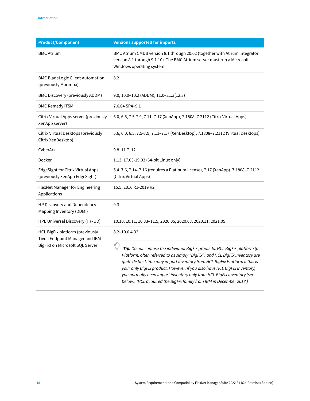| <b>Product/Component</b>                                                                              | <b>Versions supported for imports</b>                                                                                                                                                                                                                                                                                                                                                                                                                                                      |
|-------------------------------------------------------------------------------------------------------|--------------------------------------------------------------------------------------------------------------------------------------------------------------------------------------------------------------------------------------------------------------------------------------------------------------------------------------------------------------------------------------------------------------------------------------------------------------------------------------------|
| <b>BMC Atrium</b>                                                                                     | BMC Atrium CMDB version 8.1 through 20.02 (together with Atrium Integrator<br>version 8.1 through 9.1.10). The BMC Atrium server must run a Microsoft<br>Windows operating system.                                                                                                                                                                                                                                                                                                         |
| <b>BMC BladeLogic Client Automation</b><br>(previously Marimba)                                       | 8.2                                                                                                                                                                                                                                                                                                                                                                                                                                                                                        |
| <b>BMC Discovery (previously ADDM)</b>                                                                | 9.0, 10.0-10.2 (ADDM), 11.0-21.3(12.3)                                                                                                                                                                                                                                                                                                                                                                                                                                                     |
| <b>BMC Remedy ITSM</b>                                                                                | 7.6.04 SP4-9.1                                                                                                                                                                                                                                                                                                                                                                                                                                                                             |
| Citrix Virtual Apps server (previously<br>XenApp server)                                              | 6.0, 6.5, 7.5-7.9, 7.11-7.17 (XenApp), 7.1808-7.2112 (Citrix Virtual Apps)                                                                                                                                                                                                                                                                                                                                                                                                                 |
| Citrix Virtual Desktops (previously<br>Citrix XenDesktop)                                             | 5.6, 6.0, 6.5, 7.5-7.9, 7.11-7.17 (XenDesktop), 7.1808-7.2112 (Virtual Desktops)                                                                                                                                                                                                                                                                                                                                                                                                           |
| CyberArk                                                                                              | 9.8, 11.7, 12                                                                                                                                                                                                                                                                                                                                                                                                                                                                              |
| Docker                                                                                                | 1.13, 17.03-19.03 (64-bit Linux only)                                                                                                                                                                                                                                                                                                                                                                                                                                                      |
| EdgeSight for Citrix Virtual Apps<br>(previously XenApp EdgeSight)                                    | 5.4, 7.6, 7.14-7.16 (requires a Platinum license), 7.17 (XenApp), 7.1808-7.2112<br>(Citrix Virtual Apps)                                                                                                                                                                                                                                                                                                                                                                                   |
| FlexNet Manager for Engineering<br>Applications                                                       | 15.5, 2016 R1-2019 R2                                                                                                                                                                                                                                                                                                                                                                                                                                                                      |
| HP Discovery and Dependency<br>Mapping Inventory (DDMI)                                               | 9.3                                                                                                                                                                                                                                                                                                                                                                                                                                                                                        |
| HPE Universal Discovery (HP-UD)                                                                       | 10.10, 10.11, 10.33-11.5, 2020.05, 2020.08, 2020.11, 2021.05                                                                                                                                                                                                                                                                                                                                                                                                                               |
| HCL BigFix platform (previously<br>Tivoli Endpoint Manager and IBM<br>BigFix) on Microsoft SQL Server | 8.2-10.0.4.32<br>Tip: Do not confuse the individual BigFix products. HCL BigFix platform (or<br>Platform, often referred to as simply "BigFix") and HCL BigFix Inventory are<br>quite distinct. You may import inventory from HCL BigFix Platform if this is<br>your only BigFix product. However, if you also have HCL BigFix Inventory,<br>you normally need import inventory only from HCL BigFix Inventory (see<br>below). (HCL acquired the BigFix family from IBM in December 2018.) |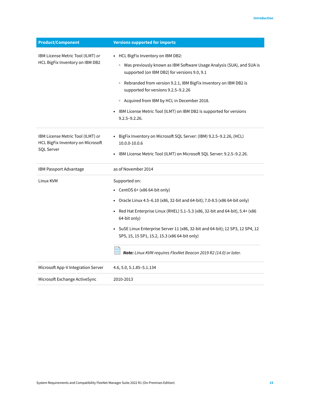| <b>Product/Component</b>                                                             | <b>Versions supported for imports</b>                                                                                                                                  |
|--------------------------------------------------------------------------------------|------------------------------------------------------------------------------------------------------------------------------------------------------------------------|
| IBM License Metric Tool (ILMT) or<br>HCL BigFix Inventory on IBM DB2                 | • HCL BigFix Inventory on IBM DB2:<br>Was previously known as IBM Software Usage Analysis (SUA), and SUA is<br>$\circ$<br>supported (on IBM DB2) for versions 9.0, 9.1 |
|                                                                                      | Rebranded from version 9.2.1, IBM BigFix Inventory on IBM DB2 is<br>$\circ$<br>supported for versions 9.2.5-9.2.26                                                     |
|                                                                                      | ○ Acquired from IBM by HCL in December 2018.                                                                                                                           |
|                                                                                      | • IBM License Metric Tool (ILMT) on IBM DB2 is supported for versions<br>$9.2.5 - 9.2.26$ .                                                                            |
| IBM License Metric Tool (ILMT) or<br>HCL BigFix Inventory on Microsoft<br>SQL Server | BigFix Inventory on Microsoft SQL Server: (IBM) 9.2.5-9.2.26, (HCL)<br>10.0.0-10.0.6<br>IBM License Metric Tool (ILMT) on Microsoft SQL Server: 9.2.5-9.2.26.          |
| IBM Passport Advantage                                                               | as of November 2014                                                                                                                                                    |
| Linux KVM                                                                            | Supported on:                                                                                                                                                          |
|                                                                                      | • CentOS $6+$ (x86 64-bit only)                                                                                                                                        |
|                                                                                      | Oracle Linux 4.5-6.10 (x86, 32-bit and 64-bit); 7.0-8.5 (x86 64-bit only)                                                                                              |
|                                                                                      | • Red Hat Enterprise Linux (RHEL) 5.1-5.3 (x86, 32-bit and 64-bit), 5.4+ (x86<br>64-bit only)                                                                          |
|                                                                                      | • SuSE Linux Enterprise Server 11 (x86, 32-bit and 64-bit); 12 SP3, 12 SP4, 12<br>SP5, 15, 15 SP1, 15.2, 15.3 (x86 64-bit only)                                        |
|                                                                                      | Note: Linux KVM requires FlexNet Beacon 2019 R2 (14.0) or later.                                                                                                       |
| Microsoft App-V Integration Server                                                   | 4.6, 5.0, 5.1.85-5.1.134                                                                                                                                               |
| Microsoft Exchange ActiveSync                                                        | 2010-2013                                                                                                                                                              |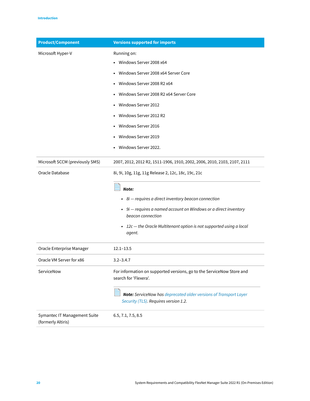| <b>Product/Component</b>                           | <b>Versions supported for imports</b>                                                                      |
|----------------------------------------------------|------------------------------------------------------------------------------------------------------------|
| Microsoft Hyper-V                                  | Running on:                                                                                                |
|                                                    | Windows Server 2008 x64                                                                                    |
|                                                    | Windows Server 2008 x64 Server Core                                                                        |
|                                                    | Windows Server 2008 R2 x64<br>$\bullet$                                                                    |
|                                                    | Windows Server 2008 R2 x64 Server Core                                                                     |
|                                                    | Windows Server 2012                                                                                        |
|                                                    | Windows Server 2012 R2                                                                                     |
|                                                    | Windows Server 2016                                                                                        |
|                                                    | Windows Server 2019                                                                                        |
|                                                    | Windows Server 2022.                                                                                       |
| Microsoft SCCM (previously SMS)                    | 2007, 2012, 2012 R2, 1511-1906, 1910, 2002, 2006, 2010, 2103, 2107, 2111                                   |
| Oracle Database                                    | 8i, 9i, 10g, 11g, 11g Release 2, 12c, 18c, 19c, 21c                                                        |
|                                                    | Note:                                                                                                      |
|                                                    | $\bullet$ 8i - requires a direct inventory beacon connection                                               |
|                                                    | • 9i - requires a named account on Windows or a direct inventory<br>beacon connection                      |
|                                                    | • 12c - the Oracle Multitenant option is not supported using a local<br>agent.                             |
| Oracle Enterprise Manager                          | $12.1 - 13.5$                                                                                              |
| Oracle VM Server for x86                           | $3.2 - 3.4.7$                                                                                              |
| ServiceNow                                         | For information on supported versions, go to the ServiceNow Store and<br>search for 'Flexera'.             |
|                                                    | Note: ServiceNow has deprecated older versions of Transport Layer<br>Security (TLS). Requires version 1.2. |
| Symantec IT Management Suite<br>(formerly Altiris) | 6.5, 7.1, 7.5, 8.5                                                                                         |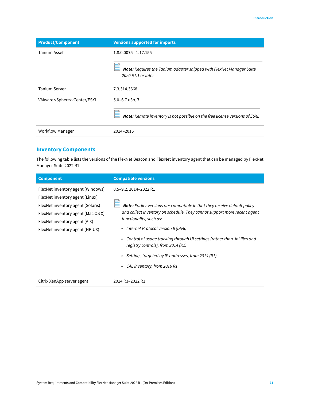| <b>Product/Component</b>    | <b>Versions supported for imports</b>                                                      |
|-----------------------------|--------------------------------------------------------------------------------------------|
| <b>Tanium Asset</b>         | $1.8.0.0075 - 1.17.155$                                                                    |
|                             | Note: Requires the Tanium adapter shipped with FlexNet Manager Suite<br>2020 R1.1 or later |
| <b>Tanium Server</b>        | 7.3.314.3668                                                                               |
| VMware vSphere/vCenter/ESXi | $5.0 - 6.7$ u3b, $7$                                                                       |
|                             | Note: Remote inventory is not possible on the free license versions of ESXi.               |
| <b>Workflow Manager</b>     | 2014-2016                                                                                  |

## **Inventory Components**

The following table lists the versions of the FlexNet Beacon and FlexNet inventory agent that can be managed by FlexNet Manager Suite 2022 R1.

| <b>Component</b>                                                                                                                                                                                                    | <b>Compatible versions</b>                                                                                                                                                                                                                                                                                                                                                                                                                                |
|---------------------------------------------------------------------------------------------------------------------------------------------------------------------------------------------------------------------|-----------------------------------------------------------------------------------------------------------------------------------------------------------------------------------------------------------------------------------------------------------------------------------------------------------------------------------------------------------------------------------------------------------------------------------------------------------|
| FlexNet inventory agent (Windows)<br>FlexNet inventory agent (Linux)<br>FlexNet inventory agent (Solaris)<br>FlexNet inventory agent (Mac OS X)<br>FlexNet inventory agent (AIX)<br>FlexNet inventory agent (HP-UX) | 8.5-9.2, 2014-2022 R1<br>Note: Earlier versions are compatible in that they receive default policy<br>and collect inventory on schedule. They cannot support more recent agent<br>functionality, such as:<br>• Internet Protocol version 6 (IPv6)<br>Control of usage tracking through UI settings (rather than .ini files and<br>registry controls), from 2014 (R1)<br>Settings targeted by IP addresses, from 2014 (R1)<br>CAL inventory, from 2016 R1. |
| Citrix XenApp server agent                                                                                                                                                                                          | 2014 R3-2022 R1                                                                                                                                                                                                                                                                                                                                                                                                                                           |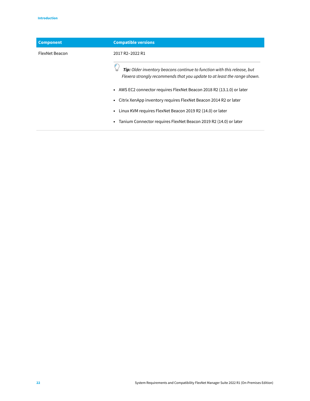| <b>Component</b> | <b>Compatible versions</b>                                                                                                                           |
|------------------|------------------------------------------------------------------------------------------------------------------------------------------------------|
| FlexNet Beacon   | 2017 R2-2022 R1                                                                                                                                      |
|                  | Tip: Older inventory beacons continue to function with this release, but<br>Flexera strongly recommends that you update to at least the range shown. |
|                  | • AWS EC2 connector requires FlexNet Beacon 2018 R2 (13.1.0) or later                                                                                |
|                  | • Citrix XenApp inventory requires FlexNet Beacon 2014 R2 or later                                                                                   |
|                  | Linux KVM requires FlexNet Beacon 2019 R2 (14.0) or later<br>$\bullet$                                                                               |
|                  | • Tanium Connector requires FlexNet Beacon 2019 R2 (14.0) or later                                                                                   |
|                  |                                                                                                                                                      |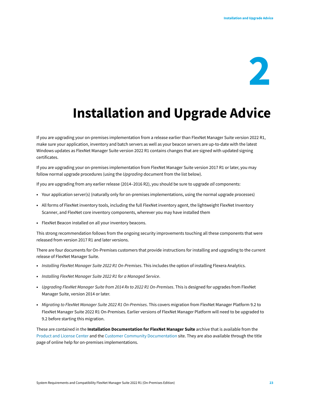

# <span id="page-22-0"></span>**Installation and Upgrade Advice**

If you are upgrading your on-premises implementation from a release earlier than FlexNet Manager Suite version 2022 R1, make sure your application, inventory and batch servers as well as your beacon servers are up-to-date with the latest Windows updates as FlexNet Manager Suite version 2022 R1 contains changes that are signed with updated signing certificates.

If you are upgrading your on-premises implementation from FlexNet Manager Suite version 2017 R1 or later, you may follow normal upgrade procedures (using the *Upgrading* document from the list below).

If you are upgrading from any earlier release (2014–2016 R2), you should be sure to upgrade *all* components:

- **•** Your application server(s) (naturally only for on-premises implementations, using the normal upgrade processes)
- **•** All forms of FlexNet inventory tools, including the full FlexNet inventory agent, the lightweight FlexNet Inventory Scanner, and FlexNet core inventory components, wherever you may have installed them
- **•** FlexNet Beacon installed on all your inventory beacons.

This strong recommendation follows from the ongoing security improvements touching all these components that were released from version 2017 R1 and later versions.

There are four documents for On-Premises customers that provide instructions for installing and upgrading to the current release of FlexNet Manager Suite.

- **•** *Installing FlexNet Manager Suite 2022 R1 On-Premises*. This includes the option of installing Flexera Analytics.
- **•** *Installing FlexNet Manager Suite 2022 R1 for a Managed Service*.
- **•** *Upgrading FlexNet Manager Suite from 2014 Rx to 2022 R1 On-Premises*. This is designed for upgrades from FlexNet Manager Suite, version 2014 or later.
- **•** *Migrating to FlexNet Manager Suite 2022 R1 On-Premises*. This covers migration from FlexNet Manager Platform 9.2 to FlexNet Manager Suite 2022 R1 On-Premises. Earlier versions of FlexNet Manager Platform will need to be upgraded to 9.2 before starting this migration.

These are contained in the **Installation Documentation for FlexNet Manager Suite** archive that is available from the [Product and License Center](https://flexerasoftware.flexnetoperations.com/) and the [Customer Community Documentation](https://flexeracommunity.force.com/customer/CCDocumentation) site. They are also available through the title page of online help for on-premises implementations.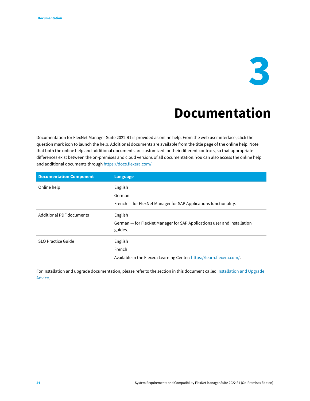

# **Documentation**

<span id="page-23-0"></span>Documentation for FlexNet Manager Suite 2022 R1 is provided as online help. From the web user interface, click the question mark icon to launch the help. Additional documents are available from the title page of the online help. Note that both the online help and additional documents are customized for their different contexts, so that appropriate differences exist between the on-premises and cloud versions of all documentation. You can also access the online help and additional documents through <https://docs.flexera.com/>.

| <b>Documentation Component</b> | Language                                                                           |
|--------------------------------|------------------------------------------------------------------------------------|
| Online help                    | English                                                                            |
|                                | German                                                                             |
|                                | French - for FlexNet Manager for SAP Applications functionality.                   |
| Additional PDF documents       | English                                                                            |
|                                | German – for FlexNet Manager for SAP Applications user and installation<br>guides. |
| SLO Practice Guide             | English                                                                            |
|                                | French                                                                             |
|                                | Available in the Flexera Learning Center: https://learn.flexera.com/.              |

For installation and upgrade documentation, please refer to the section in this document called [Installation and Upgrade](#page-22-0) [Advice.](#page-22-0)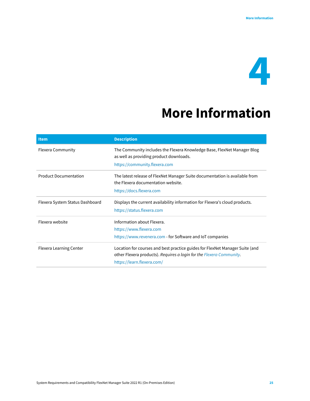

# **More Information**

<span id="page-24-0"></span>

| <b>Item</b>                     | <b>Description</b>                                                                                                                                                                 |
|---------------------------------|------------------------------------------------------------------------------------------------------------------------------------------------------------------------------------|
| Flexera Community               | The Community includes the Flexera Knowledge Base, FlexNet Manager Blog<br>as well as providing product downloads.<br>https://community.flexera.com                                |
| <b>Product Documentation</b>    | The latest release of FlexNet Manager Suite documentation is available from<br>the Flexera documentation website.<br>https://docs.flexera.com                                      |
| Flexera System Status Dashboard | Displays the current availability information for Flexera's cloud products.<br>https://status.flexera.com                                                                          |
| Flexera website                 | Information about Flexera.<br>https://www.flexera.com<br>https://www.revenera.com - for Software and IoT companies                                                                 |
| <b>Flexera Learning Center</b>  | Location for courses and best practice guides for FlexNet Manager Suite (and<br>other Flexera products). Requires a login for the Flexera Community.<br>https://learn.flexera.com/ |